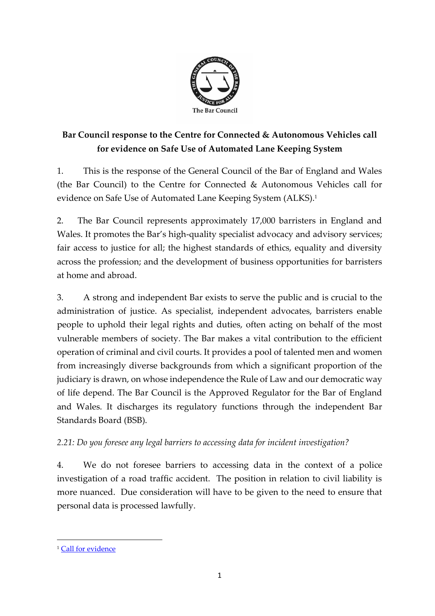

## **Bar Council response to the Centre for Connected & Autonomous Vehicles call for evidence on Safe Use of Automated Lane Keeping System**

1. This is the response of the General Council of the Bar of England and Wales (the Bar Council) to the Centre for Connected & Autonomous Vehicles call for evidence on Safe Use of Automated Lane Keeping System (ALKS).<sup>1</sup>

2. The Bar Council represents approximately 17,000 barristers in England and Wales. It promotes the Bar's high-quality specialist advocacy and advisory services; fair access to justice for all; the highest standards of ethics, equality and diversity across the profession; and the development of business opportunities for barristers at home and abroad.

3. A strong and independent Bar exists to serve the public and is crucial to the administration of justice. As specialist, independent advocates, barristers enable people to uphold their legal rights and duties, often acting on behalf of the most vulnerable members of society. The Bar makes a vital contribution to the efficient operation of criminal and civil courts. It provides a pool of talented men and women from increasingly diverse backgrounds from which a significant proportion of the judiciary is drawn, on whose independence the Rule of Law and our democratic way of life depend. The Bar Council is the Approved Regulator for the Bar of England and Wales. It discharges its regulatory functions through the independent Bar Standards Board (BSB).

## *2.21: Do you foresee any legal barriers to accessing data for incident investigation?*

4. We do not foresee barriers to accessing data in the context of a police investigation of a road traffic accident. The position in relation to civil liability is more nuanced. Due consideration will have to be given to the need to ensure that personal data is processed lawfully.

<sup>&</sup>lt;sup>1</sup> [Call for evidence](https://assets.publishing.service.gov.uk/government/uploads/system/uploads/attachment_data/file/921409/Safe-Use-of-Automated-Lane-Keeping-System-ALKS-Call-for-Evidence-FINAL-accessible.pdf)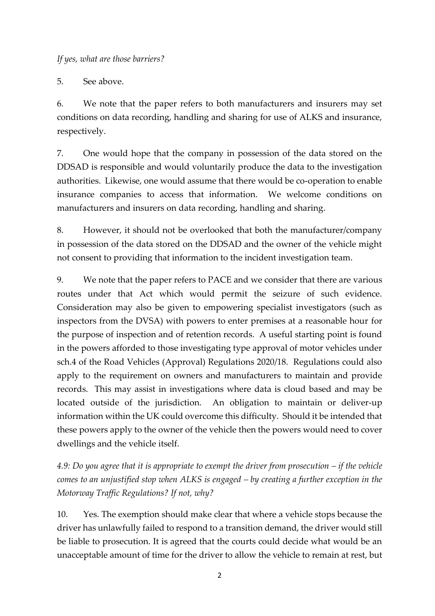5. See above.

6. We note that the paper refers to both manufacturers and insurers may set conditions on data recording, handling and sharing for use of ALKS and insurance, respectively.

7. One would hope that the company in possession of the data stored on the DDSAD is responsible and would voluntarily produce the data to the investigation authorities. Likewise, one would assume that there would be co-operation to enable insurance companies to access that information. We welcome conditions on manufacturers and insurers on data recording, handling and sharing.

8. However, it should not be overlooked that both the manufacturer/company in possession of the data stored on the DDSAD and the owner of the vehicle might not consent to providing that information to the incident investigation team.

9. We note that the paper refers to PACE and we consider that there are various routes under that Act which would permit the seizure of such evidence. Consideration may also be given to empowering specialist investigators (such as inspectors from the DVSA) with powers to enter premises at a reasonable hour for the purpose of inspection and of retention records. A useful starting point is found in the powers afforded to those investigating type approval of motor vehicles under sch.4 of the Road Vehicles (Approval) Regulations 2020/18. Regulations could also apply to the requirement on owners and manufacturers to maintain and provide records. This may assist in investigations where data is cloud based and may be located outside of the jurisdiction. An obligation to maintain or deliver-up information within the UK could overcome this difficulty. Should it be intended that these powers apply to the owner of the vehicle then the powers would need to cover dwellings and the vehicle itself.

*4.9: Do you agree that it is appropriate to exempt the driver from prosecution – if the vehicle comes to an unjustified stop when ALKS is engaged – by creating a further exception in the Motorway Traffic Regulations? If not, why?*

10. Yes. The exemption should make clear that where a vehicle stops because the driver has unlawfully failed to respond to a transition demand, the driver would still be liable to prosecution. It is agreed that the courts could decide what would be an unacceptable amount of time for the driver to allow the vehicle to remain at rest, but